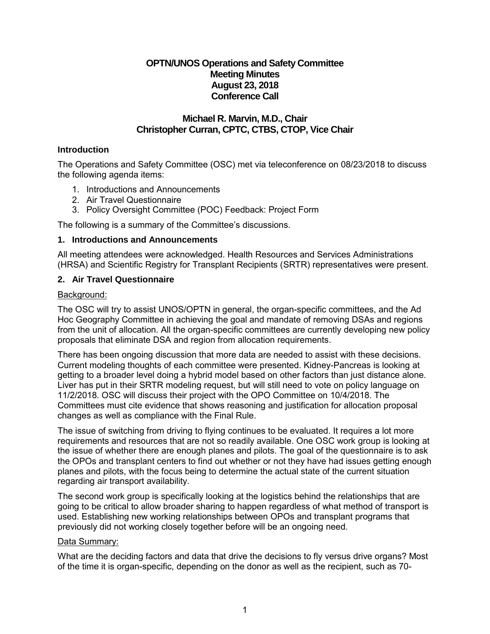# **OPTN/UNOS Operations and Safety Committee Meeting Minutes August 23, 2018 Conference Call**

## **Michael R. Marvin, M.D., Chair Christopher Curran, CPTC, CTBS, CTOP, Vice Chair**

### **Introduction**

The Operations and Safety Committee (OSC) met via teleconference on 08/23/2018 to discuss the following agenda items:

- 1. Introductions and Announcements
- 2. Air Travel Questionnaire
- 3. Policy Oversight Committee (POC) Feedback: Project Form

The following is a summary of the Committee's discussions.

#### **1. Introductions and Announcements**

All meeting attendees were acknowledged. Health Resources and Services Administrations (HRSA) and Scientific Registry for Transplant Recipients (SRTR) representatives were present.

### **2. Air Travel Questionnaire**

#### Background:

The OSC will try to assist UNOS/OPTN in general, the organ-specific committees, and the Ad Hoc Geography Committee in achieving the goal and mandate of removing DSAs and regions from the unit of allocation. All the organ-specific committees are currently developing new policy proposals that eliminate DSA and region from allocation requirements.

There has been ongoing discussion that more data are needed to assist with these decisions. Current modeling thoughts of each committee were presented. Kidney-Pancreas is looking at getting to a broader level doing a hybrid model based on other factors than just distance alone. Liver has put in their SRTR modeling request, but will still need to vote on policy language on 11/2/2018. OSC will discuss their project with the OPO Committee on 10/4/2018. The Committees must cite evidence that shows reasoning and justification for allocation proposal changes as well as compliance with the Final Rule.

The issue of switching from driving to flying continues to be evaluated. It requires a lot more requirements and resources that are not so readily available. One OSC work group is looking at the issue of whether there are enough planes and pilots. The goal of the questionnaire is to ask the OPOs and transplant centers to find out whether or not they have had issues getting enough planes and pilots, with the focus being to determine the actual state of the current situation regarding air transport availability.

The second work group is specifically looking at the logistics behind the relationships that are going to be critical to allow broader sharing to happen regardless of what method of transport is used. Establishing new working relationships between OPOs and transplant programs that previously did not working closely together before will be an ongoing need.

#### Data Summary:

What are the deciding factors and data that drive the decisions to fly versus drive organs? Most of the time it is organ-specific, depending on the donor as well as the recipient, such as 70-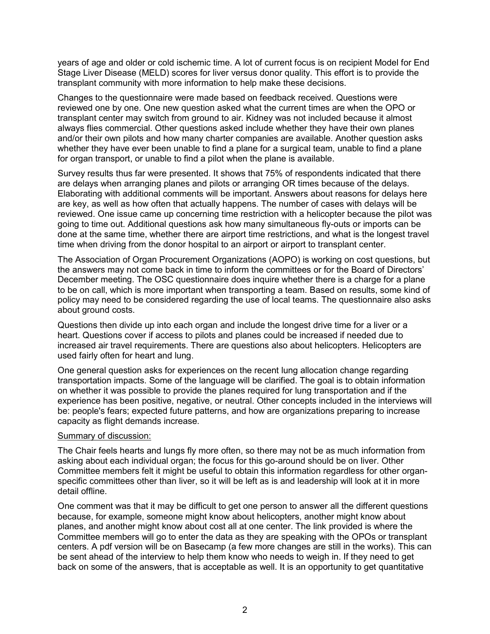years of age and older or cold ischemic time. A lot of current focus is on recipient Model for End Stage Liver Disease (MELD) scores for liver versus donor quality. This effort is to provide the transplant community with more information to help make these decisions.

Changes to the questionnaire were made based on feedback received. Questions were reviewed one by one. One new question asked what the current times are when the OPO or transplant center may switch from ground to air. Kidney was not included because it almost always flies commercial. Other questions asked include whether they have their own planes and/or their own pilots and how many charter companies are available. Another question asks whether they have ever been unable to find a plane for a surgical team, unable to find a plane for organ transport, or unable to find a pilot when the plane is available.

Survey results thus far were presented. It shows that 75% of respondents indicated that there are delays when arranging planes and pilots or arranging OR times because of the delays. Elaborating with additional comments will be important. Answers about reasons for delays here are key, as well as how often that actually happens. The number of cases with delays will be reviewed. One issue came up concerning time restriction with a helicopter because the pilot was going to time out. Additional questions ask how many simultaneous fly-outs or imports can be done at the same time, whether there are airport time restrictions, and what is the longest travel time when driving from the donor hospital to an airport or airport to transplant center.

The Association of Organ Procurement Organizations (AOPO) is working on cost questions, but the answers may not come back in time to inform the committees or for the Board of Directors' December meeting. The OSC questionnaire does inquire whether there is a charge for a plane to be on call, which is more important when transporting a team. Based on results, some kind of policy may need to be considered regarding the use of local teams. The questionnaire also asks about ground costs.

Questions then divide up into each organ and include the longest drive time for a liver or a heart. Questions cover if access to pilots and planes could be increased if needed due to increased air travel requirements. There are questions also about helicopters. Helicopters are used fairly often for heart and lung.

One general question asks for experiences on the recent lung allocation change regarding transportation impacts. Some of the language will be clarified. The goal is to obtain information on whether it was possible to provide the planes required for lung transportation and if the experience has been positive, negative, or neutral. Other concepts included in the interviews will be: people's fears; expected future patterns, and how are organizations preparing to increase capacity as flight demands increase.

#### Summary of discussion:

The Chair feels hearts and lungs fly more often, so there may not be as much information from asking about each individual organ; the focus for this go-around should be on liver. Other Committee members felt it might be useful to obtain this information regardless for other organspecific committees other than liver, so it will be left as is and leadership will look at it in more detail offline.

One comment was that it may be difficult to get one person to answer all the different questions because, for example, someone might know about helicopters, another might know about planes, and another might know about cost all at one center. The link provided is where the Committee members will go to enter the data as they are speaking with the OPOs or transplant centers. A pdf version will be on Basecamp (a few more changes are still in the works). This can be sent ahead of the interview to help them know who needs to weigh in. If they need to get back on some of the answers, that is acceptable as well. It is an opportunity to get quantitative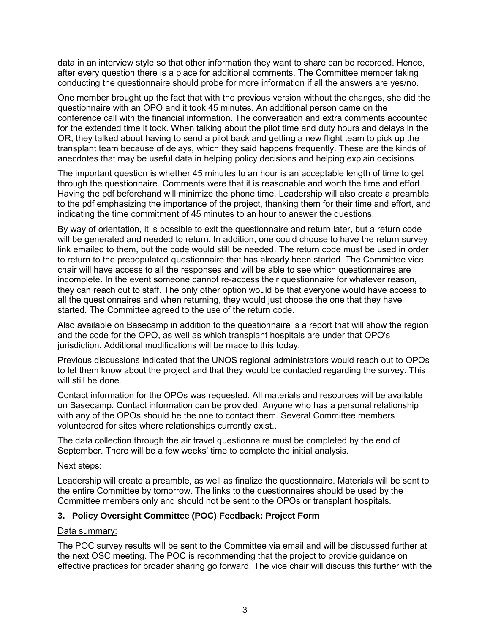data in an interview style so that other information they want to share can be recorded. Hence, after every question there is a place for additional comments. The Committee member taking conducting the questionnaire should probe for more information if all the answers are yes/no.

One member brought up the fact that with the previous version without the changes, she did the questionnaire with an OPO and it took 45 minutes. An additional person came on the conference call with the financial information. The conversation and extra comments accounted for the extended time it took. When talking about the pilot time and duty hours and delays in the OR, they talked about having to send a pilot back and getting a new flight team to pick up the transplant team because of delays, which they said happens frequently. These are the kinds of anecdotes that may be useful data in helping policy decisions and helping explain decisions.

The important question is whether 45 minutes to an hour is an acceptable length of time to get through the questionnaire. Comments were that it is reasonable and worth the time and effort. Having the pdf beforehand will minimize the phone time. Leadership will also create a preamble to the pdf emphasizing the importance of the project, thanking them for their time and effort, and indicating the time commitment of 45 minutes to an hour to answer the questions.

By way of orientation, it is possible to exit the questionnaire and return later, but a return code will be generated and needed to return. In addition, one could choose to have the return survey link emailed to them, but the code would still be needed. The return code must be used in order to return to the prepopulated questionnaire that has already been started. The Committee vice chair will have access to all the responses and will be able to see which questionnaires are incomplete. In the event someone cannot re-access their questionnaire for whatever reason, they can reach out to staff. The only other option would be that everyone would have access to all the questionnaires and when returning, they would just choose the one that they have started. The Committee agreed to the use of the return code.

Also available on Basecamp in addition to the questionnaire is a report that will show the region and the code for the OPO, as well as which transplant hospitals are under that OPO's jurisdiction. Additional modifications will be made to this today.

Previous discussions indicated that the UNOS regional administrators would reach out to OPOs to let them know about the project and that they would be contacted regarding the survey. This will still be done.

Contact information for the OPOs was requested. All materials and resources will be available on Basecamp. Contact information can be provided. Anyone who has a personal relationship with any of the OPOs should be the one to contact them. Several Committee members volunteered for sites where relationships currently exist..

The data collection through the air travel questionnaire must be completed by the end of September. There will be a few weeks' time to complete the initial analysis.

#### Next steps:

Leadership will create a preamble, as well as finalize the questionnaire. Materials will be sent to the entire Committee by tomorrow. The links to the questionnaires should be used by the Committee members only and should not be sent to the OPOs or transplant hospitals.

### **3. Policy Oversight Committee (POC) Feedback: Project Form**

### Data summary:

The POC survey results will be sent to the Committee via email and will be discussed further at the next OSC meeting. The POC is recommending that the project to provide guidance on effective practices for broader sharing go forward. The vice chair will discuss this further with the